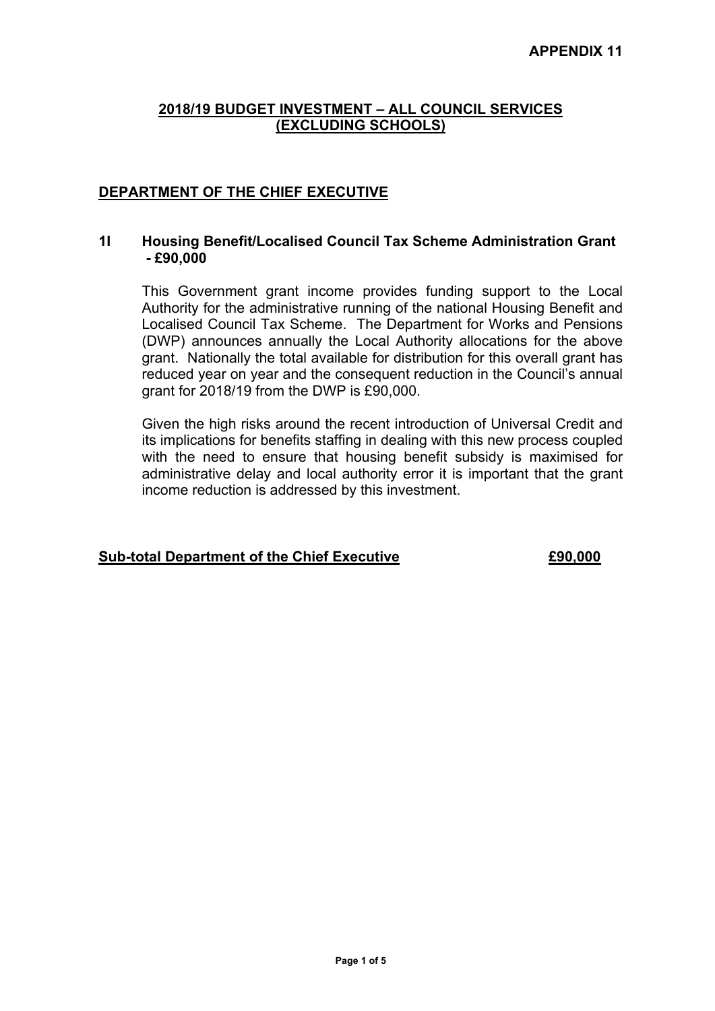# **DEPARTMENT OF THE CHIEF EXECUTIVE**

### **1I Housing Benefit/Localised Council Tax Scheme Administration Grant - £90,000**

This Government grant income provides funding support to the Local Authority for the administrative running of the national Housing Benefit and Localised Council Tax Scheme. The Department for Works and Pensions (DWP) announces annually the Local Authority allocations for the above grant. Nationally the total available for distribution for this overall grant has reduced year on year and the consequent reduction in the Council's annual grant for 2018/19 from the DWP is £90,000.

Given the high risks around the recent introduction of Universal Credit and its implications for benefits staffing in dealing with this new process coupled with the need to ensure that housing benefit subsidy is maximised for administrative delay and local authority error it is important that the grant income reduction is addressed by this investment.

#### **Sub-total Department of the Chief Executive £90,000**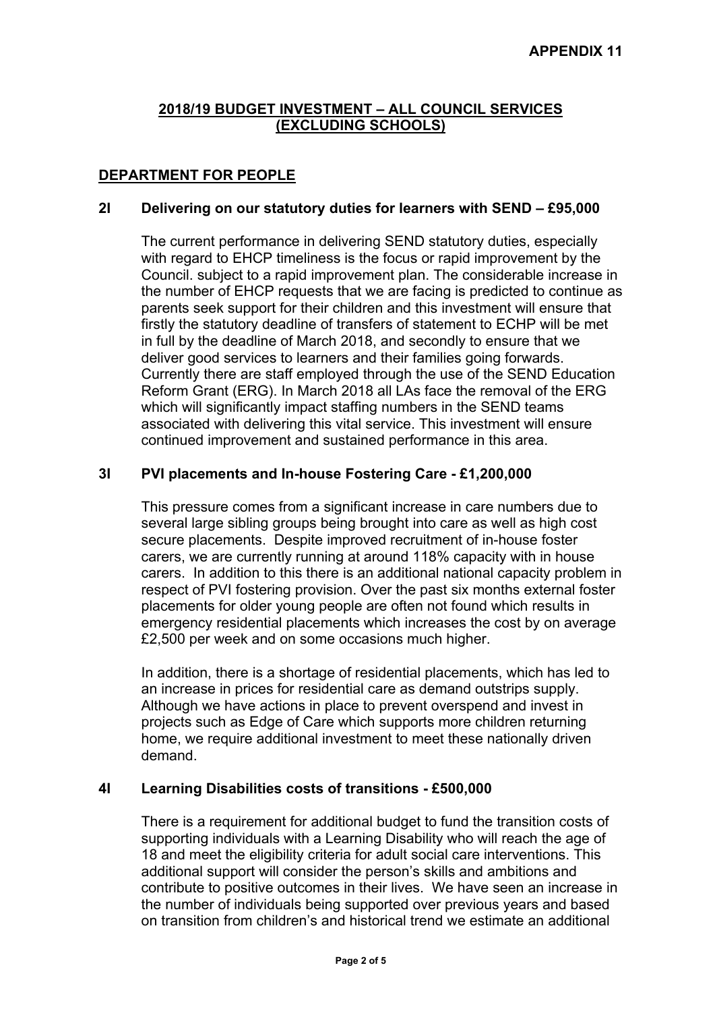# **DEPARTMENT FOR PEOPLE**

## **2I Delivering on our statutory duties for learners with SEND – £95,000**

The current performance in delivering SEND statutory duties, especially with regard to EHCP timeliness is the focus or rapid improvement by the Council. subject to a rapid improvement plan. The considerable increase in the number of EHCP requests that we are facing is predicted to continue as parents seek support for their children and this investment will ensure that firstly the statutory deadline of transfers of statement to ECHP will be met in full by the deadline of March 2018, and secondly to ensure that we deliver good services to learners and their families going forwards. Currently there are staff employed through the use of the SEND Education Reform Grant (ERG). In March 2018 all LAs face the removal of the ERG which will significantly impact staffing numbers in the SEND teams associated with delivering this vital service. This investment will ensure continued improvement and sustained performance in this area.

## **3I PVI placements and In-house Fostering Care - £1,200,000**

This pressure comes from a significant increase in care numbers due to several large sibling groups being brought into care as well as high cost secure placements. Despite improved recruitment of in-house foster carers, we are currently running at around 118% capacity with in house carers. In addition to this there is an additional national capacity problem in respect of PVI fostering provision. Over the past six months external foster placements for older young people are often not found which results in emergency residential placements which increases the cost by on average £2,500 per week and on some occasions much higher.

In addition, there is a shortage of residential placements, which has led to an increase in prices for residential care as demand outstrips supply. Although we have actions in place to prevent overspend and invest in projects such as Edge of Care which supports more children returning home, we require additional investment to meet these nationally driven demand.

## **4I Learning Disabilities costs of transitions - £500,000**

There is a requirement for additional budget to fund the transition costs of supporting individuals with a Learning Disability who will reach the age of 18 and meet the eligibility criteria for adult social care interventions. This additional support will consider the person's skills and ambitions and contribute to positive outcomes in their lives. We have seen an increase in the number of individuals being supported over previous years and based on transition from children's and historical trend we estimate an additional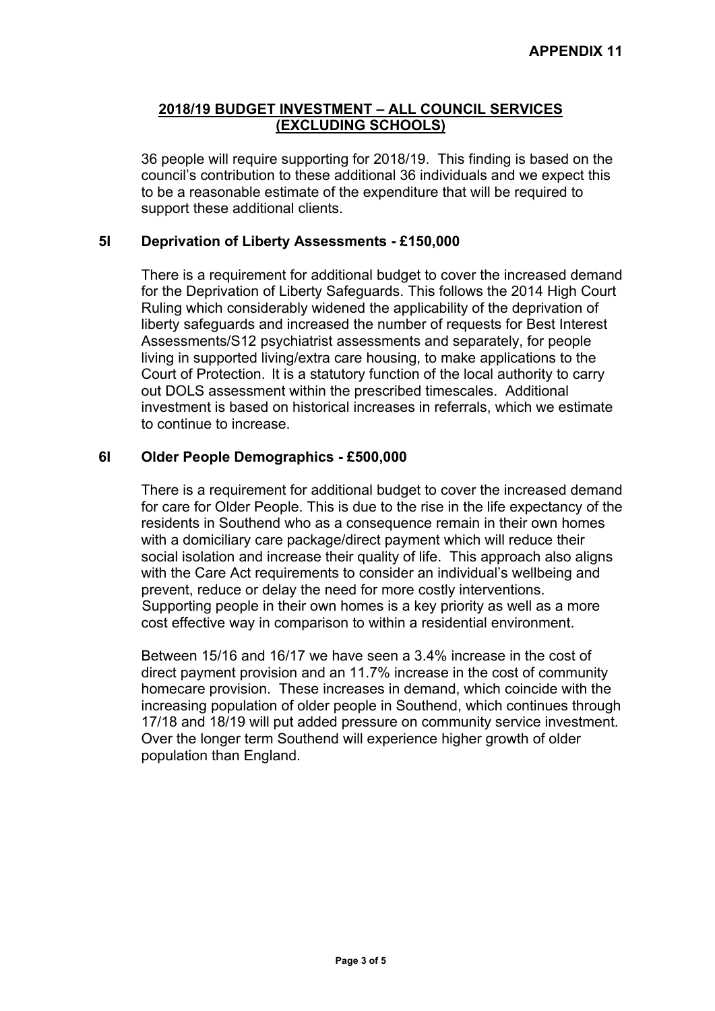36 people will require supporting for 2018/19. This finding is based on the council's contribution to these additional 36 individuals and we expect this to be a reasonable estimate of the expenditure that will be required to support these additional clients.

## **5I Deprivation of Liberty Assessments - £150,000**

There is a requirement for additional budget to cover the increased demand for the Deprivation of Liberty Safeguards. This follows the 2014 High Court Ruling which considerably widened the applicability of the deprivation of liberty safeguards and increased the number of requests for Best Interest Assessments/S12 psychiatrist assessments and separately, for people living in supported living/extra care housing, to make applications to the Court of Protection. It is a statutory function of the local authority to carry out DOLS assessment within the prescribed timescales. Additional investment is based on historical increases in referrals, which we estimate to continue to increase.

## **6I Older People Demographics - £500,000**

There is a requirement for additional budget to cover the increased demand for care for Older People. This is due to the rise in the life expectancy of the residents in Southend who as a consequence remain in their own homes with a domiciliary care package/direct payment which will reduce their social isolation and increase their quality of life. This approach also aligns with the Care Act requirements to consider an individual's wellbeing and prevent, reduce or delay the need for more costly interventions. Supporting people in their own homes is a key priority as well as a more cost effective way in comparison to within a residential environment.

Between 15/16 and 16/17 we have seen a 3.4% increase in the cost of direct payment provision and an 11.7% increase in the cost of community homecare provision. These increases in demand, which coincide with the increasing population of older people in Southend, which continues through 17/18 and 18/19 will put added pressure on community service investment. Over the longer term Southend will experience higher growth of older population than England.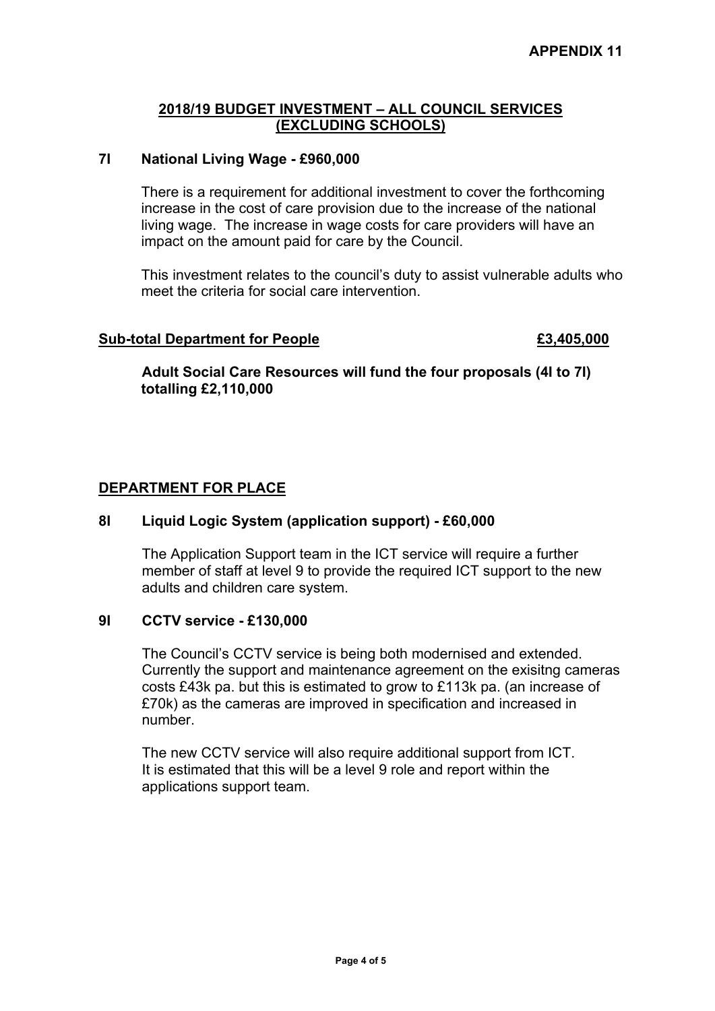#### **7I National Living Wage - £960,000**

There is a requirement for additional investment to cover the forthcoming increase in the cost of care provision due to the increase of the national living wage. The increase in wage costs for care providers will have an impact on the amount paid for care by the Council.

This investment relates to the council's duty to assist vulnerable adults who meet the criteria for social care intervention.

#### **Sub-total Department for People £3,405,000**

## **Adult Social Care Resources will fund the four proposals (4I to 7I) totalling £2,110,000**

## **DEPARTMENT FOR PLACE**

## **8I Liquid Logic System (application support) - £60,000**

The Application Support team in the ICT service will require a further member of staff at level 9 to provide the required ICT support to the new adults and children care system.

#### **9I CCTV service - £130,000**

The Council's CCTV service is being both modernised and extended. Currently the support and maintenance agreement on the exisitng cameras costs £43k pa. but this is estimated to grow to £113k pa. (an increase of £70k) as the cameras are improved in specification and increased in number.

The new CCTV service will also require additional support from ICT. It is estimated that this will be a level 9 role and report within the applications support team.